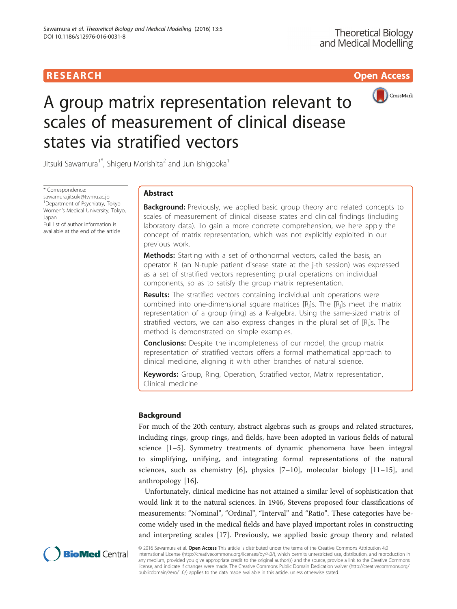# <span id="page-0-0"></span>R E S EAR CH Open Access



# A group matrix representation relevant to scales of measurement of clinical disease states via stratified vectors

Jitsuki Sawamura<sup>1\*</sup>, Shigeru Morishita<sup>2</sup> and Jun Ishigooka<sup>1</sup>

\* Correspondence:

[sawamura.jitsuki@twmu.ac.jp](mailto:sawamura.jitsuki@twmu.ac.jp) 1 Department of Psychiatry, Tokyo Women's Medical University, Tokyo, Japan

Full list of author information is available at the end of the article

# Abstract

**Background:** Previously, we applied basic group theory and related concepts to scales of measurement of clinical disease states and clinical findings (including laboratory data). To gain a more concrete comprehension, we here apply the concept of matrix representation, which was not explicitly exploited in our previous work.

**Methods:** Starting with a set of orthonormal vectors, called the basis, an operator Rj (an N-tuple patient disease state at the j-th session) was expressed as a set of stratified vectors representing plural operations on individual components, so as to satisfy the group matrix representation.

**Results:** The stratified vectors containing individual unit operations were combined into one-dimensional square matrices  $[R_j]$ s. The  $[R_j]$ s meet the matrix representation of a group (ring) as a K-algebra. Using the same-sized matrix of stratified vectors, we can also express changes in the plural set of [R<sub>j</sub>]s. The method is demonstrated on simple examples.

**Conclusions:** Despite the incompleteness of our model, the group matrix representation of stratified vectors offers a formal mathematical approach to clinical medicine, aligning it with other branches of natural science.

Keywords: Group, Ring, Operation, Stratified vector, Matrix representation, Clinical medicine

### Background

For much of the 20th century, abstract algebras such as groups and related structures, including rings, group rings, and fields, have been adopted in various fields of natural science [[1](#page-21-0)–[5\]](#page-21-0). Symmetry treatments of dynamic phenomena have been integral to simplifying, unifying, and integrating formal representations of the natural sciences, such as chemistry  $[6]$  $[6]$ , physics  $[7-10]$  $[7-10]$  $[7-10]$  $[7-10]$ , molecular biology  $[11-15]$  $[11-15]$  $[11-15]$  $[11-15]$  $[11-15]$ , and anthropology [\[16](#page-21-0)].

Unfortunately, clinical medicine has not attained a similar level of sophistication that would link it to the natural sciences. In 1946, Stevens proposed four classifications of measurements: "Nominal", "Ordinal", "Interval" and "Ratio". These categories have become widely used in the medical fields and have played important roles in constructing and interpreting scales [[17\]](#page-21-0). Previously, we applied basic group theory and related



© 2016 Sawamura et al. Open Access This article is distributed under the terms of the Creative Commons Attribution 4.0 International License [\(http://creativecommons.org/licenses/by/4.0/](http://creativecommons.org/licenses/by/4.0/)), which permits unrestricted use, distribution, and reproduction in any medium, provided you give appropriate credit to the original author(s) and the source, provide a link to the Creative Commons license, and indicate if changes were made. The Creative Commons Public Domain Dedication waiver [\(http://creativecommons.org/](http://creativecommons.org/publicdomain/zero/1.0/) [publicdomain/zero/1.0/\)](http://creativecommons.org/publicdomain/zero/1.0/) applies to the data made available in this article, unless otherwise stated.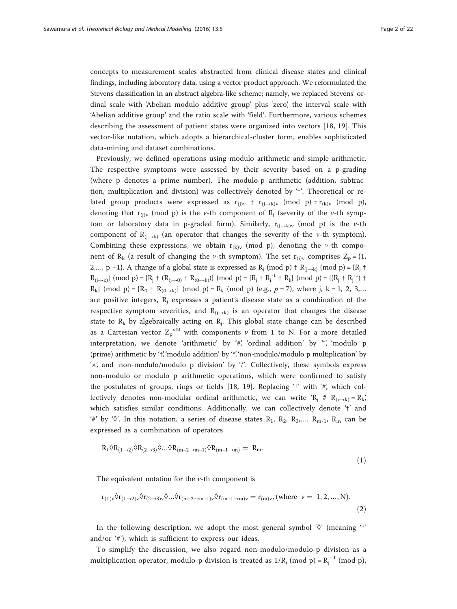<span id="page-1-0"></span>concepts to measurement scales abstracted from clinical disease states and clinical findings, including laboratory data, using a vector product approach. We reformulated the Stevens classification in an abstract algebra-like scheme; namely, we replaced Stevens' ordinal scale with 'Abelian modulo additive group' plus 'zero', the interval scale with 'Abelian additive group' and the ratio scale with 'field'. Furthermore, various schemes describing the assessment of patient states were organized into vectors [[18, 19](#page-21-0)]. This vector-like notation, which adopts a hierarchical-cluster form, enables sophisticated data-mining and dataset combinations.

Previously, we defined operations using modulo arithmetic and simple arithmetic. The respective symptoms were assessed by their severity based on a p-grading (where p denotes a prime number). The modulo-p arithmetic (addition, subtraction, multiplication and division) was collectively denoted by '†'. Theoretical or related group products were expressed as  $r_{(j)v}$  †  $r_{(j\rightarrow k)v}$  (mod p) =  $r_{(k)v}$  (mod p), denoting that  $r_{(j)v}$  (mod p) is the v-th component of  $R_j$  (severity of the v-th symptom or laboratory data in p-graded form). Similarly,  $r_{(j\rightarrow k)v}$  (mod p) is the v-th component of  $R_{(i\rightarrow k)}$  (an operator that changes the severity of the v-th symptom). Combining these expressions, we obtain  $r_{(k)v}$  (mod p), denoting the v-th component of R<sub>k</sub> (a result of changing the *v*-th symptom). The set  $r_{(j)v}$  comprises  $Z_p = \{1,$ 2,..., p −1}. A change of a global state is expressed as  $R_j \pmod{p} + R_{(j\rightarrow k)} \pmod{p} = {R_j + k}$  $R_{(j\rightarrow k)}$ } (mod p) = { $R_j$  + ( $R_{(j\rightarrow 0)}$  +  $R_{(0\rightarrow k)}$ } (mod p) = { $R_j$  +  $R_j^{-1}$  +  $R_k$ } (mod p) = { $(R_j + R_j^{-1})$  +  $R_k$ } (mod p) = { $R_0$  +  $R_{(0\to k)}$ } (mod p) =  $R_k$  (mod p) (e.g., p = 7), where j, k = 1, 2, 3,... are positive integers,  $R_i$  expresses a patient's disease state as a combination of the respective symptom severities, and  $R_{(j\rightarrow k)}$  is an operator that changes the disease state to  $R_k$  by algebraically acting on  $R_i$ . This global state change can be described as a Cartesian vector  $Z_p^{\times N}$  with components  $\nu$  from 1 to N. For a more detailed interpretation, we denote 'arithmetic' by '#', 'ordinal addition' by '°', 'modulo p (prime) arithmetic by 't', 'modulo addition' by '\*', 'non-modulo/modulo p multiplication' by '×', and 'non-modulo/modulo p division' by '/'. Collectively, these symbols express non-modulo or modulo p arithmetic operations, which were confirmed to satisfy the postulates of groups, rings or fields [\[18](#page-21-0), [19](#page-21-0)]. Replacing '†' with '#', which collectively denotes non-modular ordinal arithmetic, we can write 'R<sub>i</sub> #  $R_{(i\rightarrow k)} = R_{k}$ ', which satisfies similar conditions. Additionally, we can collectively denote '†' and '#' by ' $\Diamond'$ . In this notation, a series of disease states R<sub>1</sub>, R<sub>2</sub>, R<sub>3</sub>,..., R<sub>m-1</sub>, R<sub>m</sub> can be expressed as a combination of operators

$$
R_1 \Diamond R_{(1 \to 2)} \Diamond R_{(2 \to 3)} \Diamond \dots \Diamond R_{(m-2 \to m-1)} \Diamond R_{(m-1 \to m)} = R_m.
$$
\n(1)

The equivalent notation for the  $\nu$ -th component is

$$
r_{(1)v} \lozenge r_{(1\to 2)v} \lozenge r_{(2\to 3)v} \lozenge \dots \lozenge r_{(m-2\to m-1)v} \lozenge r_{(m-1\to m)v} = r_{(m)v}, \text{ (where } v = 1, 2, ..., N). \tag{2}
$$

In the following description, we adopt the most general symbol ' $\Diamond'$ ' (meaning 't' and/or '#'), which is sufficient to express our ideas.

To simplify the discussion, we also regard non-modulo/modulo-p division as a multiplication operator; modulo-p division is treated as  $1/R_j \pmod{p} = R_j^{-1} \pmod{p}$ ,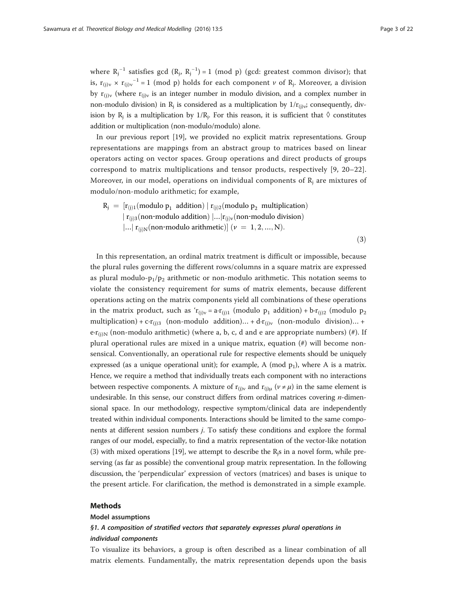<span id="page-2-0"></span>where  $R_j^{-1}$  satisfies gcd  $(R_j, R_j^{-1}) = 1$  (mod p) (gcd: greatest common divisor); that is,  $r_{(j)v} \times r_{(j)v}^{-1} = 1 \pmod{p}$  holds for each component  $v$  of  $R_j$ . Moreover, a division by  $r_{(i)v}$  (where  $r_{(i)v}$  is an integer number in modulo division, and a complex number in non-modulo division) in R<sub>i</sub> is considered as a multiplication by  $1/r_{(i)v}$ ; consequently, division by  $\rm R_{j}$  is a multiplication by  $1/\rm R_{j}$ . For this reason, it is sufficient that  $\lozenge$  constitutes addition or multiplication (non-modulo/modulo) alone.

In our previous report [\[19\]](#page-21-0), we provided no explicit matrix representations. Group representations are mappings from an abstract group to matrices based on linear operators acting on vector spaces. Group operations and direct products of groups correspond to matrix multiplications and tensor products, respectively [[9](#page-21-0), [20](#page-21-0)–[22](#page-21-0)]. Moreover, in our model, operations on individual components of  $R_i$  are mixtures of modulo/non-modulo arithmetic; for example,

 $R_i = [r_{(i)1} \text{ (modulo } p_1 \text{ addition}) | r_{(i)2} \text{ (modulo } p_2 \text{ multiplication)}$  $\vert r_{(i)3}(\text{non-modulo addition})\vert... \vert r_{(i)v}(\text{non-modulo division})\vert$  $\left| \ldots \right|$  r<sub>(j)N</sub>(non-modulo arithmetic)] ( $\nu = 1, 2, ..., N$ ).

 $(3)$ 

In this representation, an ordinal matrix treatment is difficult or impossible, because the plural rules governing the different rows/columns in a square matrix are expressed as plural modulo- $p_1/p_2$  arithmetic or non-modulo arithmetic. This notation seems to violate the consistency requirement for sums of matrix elements, because different operations acting on the matrix components yield all combinations of these operations in the matrix product, such as ' $r_{(j)v} = a \cdot r_{(j)1}$  (modulo  $p_1$  addition) + b $\cdot r_{(j)2}$  (modulo  $p_2$ multiplication) + c·r<sub>(i)3</sub> (non-modulo addition)... + d·r<sub>(i)</sub><sub>v</sub> (non-modulo division)... + e· $r_{(i)N}$  (non-modulo arithmetic) (where a, b, c, d and e are appropriate numbers) (#). If plural operational rules are mixed in a unique matrix, equation (#) will become nonsensical. Conventionally, an operational rule for respective elements should be uniquely expressed (as a unique operational unit); for example, A (mod  $p_1$ ), where A is a matrix. Hence, we require a method that individually treats each component with no interactions between respective components. A mixture of  $r_{(i)v}$  and  $r_{(i)u}$  ( $v \neq \mu$ ) in the same element is undesirable. In this sense, our construct differs from ordinal matrices covering  $n$ -dimensional space. In our methodology, respective symptom/clinical data are independently treated within individual components. Interactions should be limited to the same components at different session numbers j. To satisfy these conditions and explore the formal ranges of our model, especially, to find a matrix representation of the vector-like notation (3) with mixed operations [[19](#page-21-0)], we attempt to describe the  $R_j$ s in a novel form, while preserving (as far as possible) the conventional group matrix representation. In the following discussion, the 'perpendicular' expression of vectors (matrices) and bases is unique to the present article. For clarification, the method is demonstrated in a simple example.

#### Methods

#### Model assumptions

# §1. A composition of stratified vectors that separately expresses plural operations in individual components

To visualize its behaviors, a group is often described as a linear combination of all matrix elements. Fundamentally, the matrix representation depends upon the basis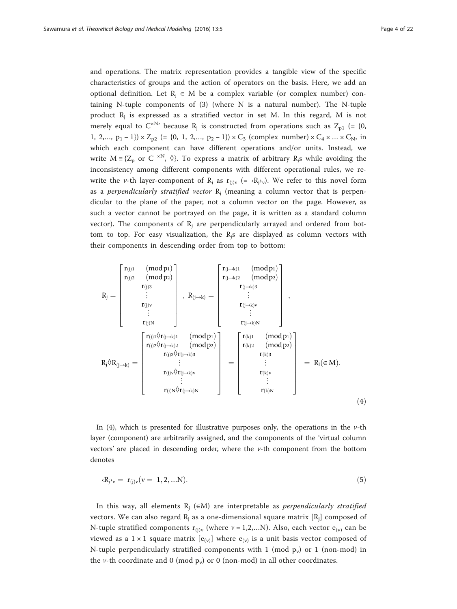<span id="page-3-0"></span>and operations. The matrix representation provides a tangible view of the specific characteristics of groups and the action of operators on the basis. Here, we add an optional definition. Let  $R_i \in M$  be a complex variable (or complex number) containing N-tuple components of ([3](#page-2-0)) (where N is a natural number). The N-tuple product  $R_i$  is expressed as a stratified vector in set M. In this regard, M is not merely equal to  $C^{N}$  because R<sub>i</sub> is constructed from operations such as  $Z_{p1}$  (= {0, 1, 2,...,  $p_1 - 1$ }) ×  $Z_{p2}$  (= {0, 1, 2,...,  $p_2 - 1$ }) ×  $C_3$  (complex number) ×  $C_4$  × ... ×  $C_N$ , in which each component can have different operations and/or units. Instead, we write  $M = \{Z_p \text{ or } C \times N, \emptyset\}$ . To express a matrix of arbitrary R<sub>i</sub>s while avoiding the inconsistency among different components with different operational rules, we rewrite the *v*-th layer-component of R<sub>i</sub> as  $r_{(i)v}$  (=  $\langle R_i \rangle$ ). We refer to this novel form as a *perpendicularly stratified vector*  $R_i$  (meaning a column vector that is perpendicular to the plane of the paper, not a column vector on the page. However, as such a vector cannot be portrayed on the page, it is written as a standard column vector). The components of  $R_i$  are perpendicularly arrayed and ordered from bottom to top. For easy visualization, the Rjs are displayed as column vectors with their components in descending order from top to bottom:

$$
R_j=\begin{bmatrix}r_{(j)1} & (mod\, p_1)\\ r_{(j)2} & (mod\, p_2)\\ r_{(j)3} & & & \\ \vdots & & \\ r_{(j)v} & & \\ & \vdots & \\ r_{(j)v} & & \\ & & r_{(j)N}\end{bmatrix},\ R_{(j\rightarrow k)}=\begin{bmatrix}r_{(j\rightarrow k)1} & (mod\, p_1)\\ r_{(j\rightarrow k)2} & (mod\, p_2)\\ & & \vdots\\ r_{(j\rightarrow k)v} & & \\ & & \vdots\\ r_{(j\rightarrow k)v} & & \\ & & r_{(j\rightarrow k)N}\end{bmatrix},\\ R_j\Diamond R_{(j\rightarrow k)}=\begin{bmatrix}r_{(j)1}\Diamond r_{(j\rightarrow k)1} & (mod\, p_1)\\ r_{(j)2}\Diamond r_{(j\rightarrow k)2} & (mod\, p_2)\\ r_{(j)3}\Diamond r_{(j\rightarrow k)3}\\ & & \vdots\\ r_{(j)v}\Diamond r_{(j\rightarrow k)v}\\ & & \vdots\\ r_{(j)v}\Diamond r_{(j\rightarrow k)N}\end{bmatrix}=\begin{bmatrix}r_{(k)1} & (mod\, p_1)\\ r_{(k)2} & (mod\, p_2)\\ r_{(k)3} & & \\ & \vdots\\ r_{(k)v}\\ & & \vdots\\ r_{(k)v}\end{bmatrix}=R_I(\in M).\\ (4)
$$

In (4), which is presented for illustrative purposes only, the operations in the  $\nu$ -th layer (component) are arbitrarily assigned, and the components of the 'virtual column vectors' are placed in descending order, where the  $\nu$ -th component from the bottom denotes

$$
\langle R_j \rangle_v = r_{(j)v}(v = 1, 2, ...N). \tag{5}
$$

In this way, all elements  $R_i$  (∈M) are interpretable as *perpendicularly stratified* vectors. We can also regard  $R_i$  as a one-dimensional square matrix  $[R_i]$  composed of N-tuple stratified components  $r_{(i)v}$  (where  $v = 1, 2,...N$ ). Also, each vector  $e_{(v)}$  can be viewed as a  $1 \times 1$  square matrix  $[e_{(v)}]$  where  $e_{(v)}$  is a unit basis vector composed of N-tuple perpendicularly stratified components with 1 (mod  $p_v$ ) or 1 (non-mod) in the *v*-th coordinate and 0 (mod  $p_v$ ) or 0 (non-mod) in all other coordinates.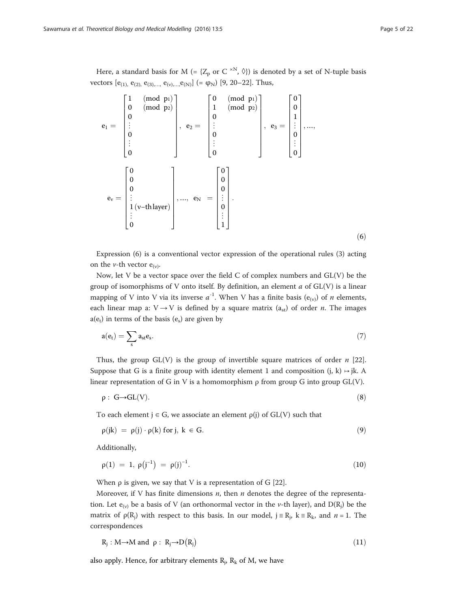<span id="page-4-0"></span>Here, a standard basis for M (=  $\{Z_p \text{ or } C \times N, \Diamond\}$ ) is denoted by a set of N-tuple basis vectors  $[e_{(1)}, e_{(2)}, e_{(3),...,} e_{(v),...,} e_{(N)}]$   $(= \varphi_N)$   $[9, 20-22]$  $[9, 20-22]$  $[9, 20-22]$  $[9, 20-22]$  $[9, 20-22]$ . Thus,



Expression (6) is a conventional vector expression of the operational rules [\(3](#page-2-0)) acting on the *v*-th vector  $e_{(v)}$ .

Now, let V be a vector space over the field C of complex numbers and GL(V) be the group of isomorphisms of V onto itself. By definition, an element a of  $GL(V)$  is a linear mapping of V into V via its inverse  $a^{-1}$ . When V has a finite basis ( $e_{(v)}$ ) of *n* elements, each linear map a:  $V \rightarrow V$  is defined by a square matrix  $(a_{st})$  of order *n*. The images  $a(e_t)$  in terms of the basis  $(e_s)$  are given by

$$
a(e_t) = \sum_s a_{st} e_s. \tag{7}
$$

Thus, the group GL(V) is the group of invertible square matrices of order  $n$  [[22](#page-21-0)]. Suppose that G is a finite group with identity element 1 and composition  $(i, k) \rightarrow jk$ . linear representation of G in V is a homomorphism  $\rho$  from group G into group GL(V).

$$
\rho: G \to GL(V). \tag{8}
$$

To each element  $j \in G$ , we associate an element  $\rho(j)$  of  $GL(V)$  such that

$$
\rho(jk) = \rho(j) \cdot \rho(k) \text{ for } j, \ k \in G. \tag{9}
$$

Additionally,

$$
\rho(1) = 1, \ \rho(j^{-1}) = \rho(j)^{-1}.
$$
 (10)

When  $\rho$  is given, we say that V is a representation of G [[22\]](#page-21-0).

Moreover, if V has finite dimensions  $n$ , then  $n$  denotes the degree of the representation. Let  $e_{(v)}$  be a basis of V (an orthonormal vector in the v-th layer), and  $D(R_i)$  be the matrix of  $\rho(R_i)$  with respect to this basis. In our model,  $j \equiv R_i$ ,  $k \equiv R_k$ , and  $n = 1$ . The correspondences

$$
R_j: M \to M \text{ and } \rho: R_j \to D(R_j)
$$
 (11)

also apply. Hence, for arbitrary elements  $\rm R_{j}$ ,  $\rm R_{k}$  of M, we have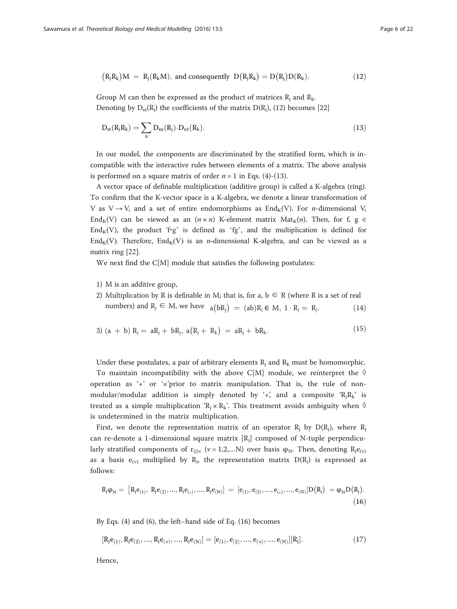<span id="page-5-0"></span>
$$
(R_jR_k)M = R_j(R_kM), \text{ and consequently } D(R_jR_k) = D(R_j)D(R_k). \tag{12}
$$

Group M can then be expressed as the product of matrices  $R_i$  and  $R_k$ . Denoting by  $D_{st}(R_i)$  the coefficients of the matrix  $D(R_i)$ , (12) becomes [[22\]](#page-21-0)

$$
D_{st}(R_jR_k) = \sum_{u} D_{su}(R_j) \cdot D_{ut}(R_k). \qquad (13)
$$

In our model, the components are discriminated by the stratified form, which is incompatible with the interactive rules between elements of a matrix. The above analysis is performed on a square matrix of order  $n = 1$  in Eqs. [\(4](#page-3-0))-(13).

A vector space of definable multiplication (additive group) is called a K-algebra (ring). To confirm that the K-vector space is a K-algebra, we denote a linear transformation of V as V  $\rightarrow$  V, and a set of entire endomorphisms as End<sub>K</sub>(V). For *n*-dimensional V, End<sub>K</sub>(V) can be viewed as an  $(n \times n)$  K-element matrix Mat<sub>K</sub>(n). Then, for f, g  $\in$ End<sub>K</sub>(V), the product 'f∘g' is defined as 'fg', and the multiplication is defined for  $\text{End}_{K}(V)$ . Therefore,  $\text{End}_{K}(V)$  is an *n*-dimensional K-algebra, and can be viewed as a matrix ring [[22](#page-21-0)].

We next find the C[M] module that satisfies the following postulates:

- 1) M is an additive group,
- 2) Multiplication by R is definable in M; that is, for a,  $b \in R$  (where R is a set of real numbers) and  $R_j \in M$ , we have  $a(bR_j) = (ab)R_j \in M$ ,  $1 \cdot R_j = R_j$ . (14)

3) 
$$
(a + b) R_j = aR_j + bR_j, a(R_j + R_k) = aR_j + bR_k.
$$
 (15)

Under these postulates, a pair of arbitrary elements  $R_i$  and  $R_k$  must be homomorphic.

To maintain incompatibility with the above C[M] module, we reinterpret the  $\Diamond$ operation as '+' or '×'prior to matrix manipulation. That is, the rule of nonmodular/modular addition is simply denoted by '+', and a composite  $\{R_iR_k\}$ ' is treated as a simple multiplication ' $R_i \times R_k$ '. This treatment avoids ambiguity when  $\Diamond$ is undetermined in the matrix multiplication.

First, we denote the representation matrix of an operator  $R_i$  by  $D(R_i)$ , where  $R_i$ can re-denote a 1-dimensional square matrix  $[R_i]$  composed of N-tuple perpendicularly stratified components of  $r_{(i)v}$  ( $v = 1, 2,...N$ ) over basis  $\varphi_N$ . Then, denoting  $R_j e_{(v)}$ as a basis  $e_{(v)}$  multiplied by  $R_i$ , the representation matrix  $D(R_i)$  is expressed as follows:

$$
R_j \varphi_N = [R_j e_{(1)}, R_j e_{(2)}, ..., R_j e_{(v)}, ..., R_j e_{(N)}] = [e_{(1)}, e_{(2)}, ..., e_{(v)}, ..., e_{(N)}] D(R_j) = \varphi_N D(R_j).
$$
\n(16)

By Eqs. ([4\)](#page-3-0) and ([6\)](#page-4-0), the left–hand side of Eq. (16) becomes

$$
[R_j e_{(1)}, R_j e_{(2)}, ..., R_j e_{(v)}, ..., R_j e_{(N)}] = [e_{(1)}, e_{(2)}, ..., e_{(v)}, ..., e_{(N)}][R_j].
$$
\n(17)

Hence,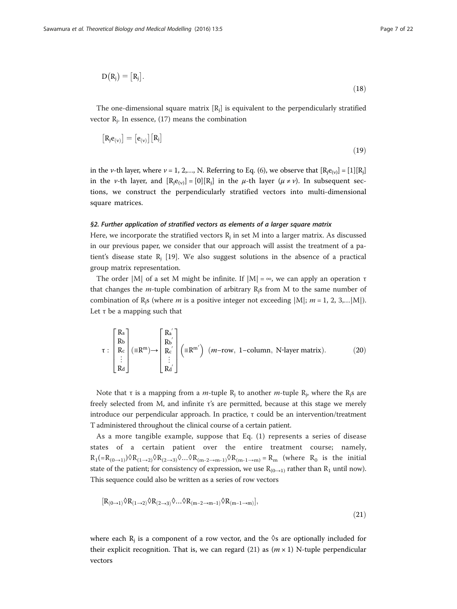$(18)$ 

<span id="page-6-0"></span>
$$
D(R_j) = [R_j].
$$

The one-dimensional square matrix  $\left[\mathtt{R}_{\mathfrak{j}}\right]$  is equivalent to the perpendicularly stratified vector  $R_i$ . In essence, [\(17](#page-5-0)) means the combination

$$
\left[\mathbf{R}_{j}\mathbf{e}_{(\mathsf{v})}\right]=\left[\mathbf{e}_{(\mathsf{v})}\right]\left[\mathbf{R}_{j}\right]
$$
\n(19)

in the *v*-th layer, where  $v = 1, 2,..., N$ . Referring to Eq. ([6](#page-4-0)), we observe that  $[R_j e_{(v)}] = [1][R_j]$  $[R_j e_{(v)}] = [1][R_j]$  $[R_j e_{(v)}] = [1][R_j]$ in the *v*-th layer, and  $[R_i e_{(v)}] = [0][R_i]$  in the  $\mu$ -th layer  $(\mu \neq v)$ . In subsequent sections, we construct the perpendicularly stratified vectors into multi-dimensional square matrices.

#### §2. Further application of stratified vectors as elements of a larger square matrix

Here, we incorporate the stratified vectors  $R_i$  in set M into a larger matrix. As discussed in our previous paper, we consider that our approach will assist the treatment of a patient's disease state  $R_i$  [[19\]](#page-21-0). We also suggest solutions in the absence of a practical group matrix representation.

The order |M| of a set M might be infinite. If  $|M| = \infty$ , we can apply an operation τ that changes the *m*-tuple combination of arbitrary  $R_i$ s from M to the same number of combination of  $R_j$ s (where *m* is a positive integer not exceeding  $|M|$ ; *m* = 1, 2, 3,...  $|M|$ ). Let  $\tau$  be a mapping such that

$$
\tau : \begin{bmatrix} R_a \\ R_b \\ R_c \\ \vdots \\ R_d \end{bmatrix} (\equiv R^m) \rightarrow \begin{bmatrix} R_a^{'}\\ R_b^{'}\\ R_c^{'}\\ \vdots \\ R_d^{'}\end{bmatrix} \begin{pmatrix} = R^{m'}\\ \end{pmatrix} \text{ ($m$-row$, $1$-column, $N$-layer matrix)}.
$$
 (20)

Note that  $\tau$  is a mapping from a *m*-tuple  $R_j$  to another *m*-tuple  $R_j$ , where the  $R_j$ s are freely selected from M, and infinite τ's are permitted, because at this stage we merely introduce our perpendicular approach. In practice, τ could be an intervention/treatment T administered throughout the clinical course of a certain patient.

As a more tangible example, suppose that Eq. ([1](#page-1-0)) represents a series of disease states of a certain patient over the entire treatment course; namely,  $R_1(=R_{(0\rightarrow 1)})\mathcal{R}_{(1\rightarrow 2)}\mathcal{R}_{(2\rightarrow 3)}\mathcal{R}_{\cdots}\mathcal{R}_{(m-2\rightarrow m-1)}\mathcal{R}_{(m-1\rightarrow m)}=R_m$  (where  $R_0$  is the initial state of the patient; for consistency of expression, we use  $R_{(0\rightarrow1)}$  rather than  $R_1$  until now). This sequence could also be written as a series of row vectors

$$
[R_{(0\to1)}\lozenge R_{(1\to2)}\lozenge R_{(2\to3)}\lozenge...\lozenge R_{(m-2\to m-1)}\lozenge R_{(m-1\to m)}],\tag{21}
$$

where each  $R_i$  is a component of a row vector, and the  $\Diamond$ s are optionally included for their explicit recognition. That is, we can regard (21) as  $(m \times 1)$  N-tuple perpendicular vectors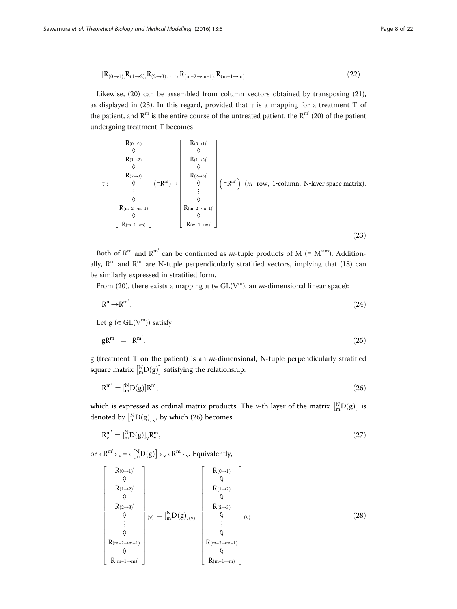<span id="page-7-0"></span>
$$
[R_{(0\to 1)}, R_{(1\to 2)}, R_{(2\to 3)}, \dots, R_{(m-2\to m-1)}, R_{(m-1\to m)}]. \tag{22}
$$

Likewise, ([20\)](#page-6-0) can be assembled from column vectors obtained by transposing ([21](#page-6-0)), as displayed in (23). In this regard, provided that  $\tau$  is a mapping for a treatment T of the patient, and  $\mathbb{R}^m$  is the entire course of the untreated patient, the  $\mathbb{R}^{m'}$  [\(20\)](#page-6-0) of the patient undergoing treatment T becomes

$$
\tau : \left[\begin{array}{c} R_{(0\rightarrow 1)} \\ \varphi \\ R_{(1\rightarrow 2)} \\ \varphi \\ \vdots \\ \varphi \\ R_{(m-2\rightarrow m-1)} \\ \varphi \\ R_{(m-1\rightarrow m)} \end{array}\right] \left(\equiv R^m\right) \rightarrow \left[\begin{array}{c} R_{(0\rightarrow 1)'} \\ \varphi \\ R_{(1\rightarrow 2)'} \\ \varphi \\ \vdots \\ \varphi \\ R_{(m-2\rightarrow m-1)'} \\ \varphi \\ R_{(m-1\rightarrow m)'} \end{array}\right] \left(\equiv R^{m'}\right) \left(\text{${\it m}$-row, 1-column, N-layer space matrix}\right).
$$
\n
$$
(23)
$$

Both of  $R^m$  and  $R^{m'}$  can be confirmed as *m*-tuple products of  $M \in M^{\times m}$ ). Additionally,  $R^m$  and  $R^{m'}$  are N-tuple perpendicularly stratified vectors, implying that ([18](#page-6-0)) can be similarly expressed in stratified form.

From ([20\)](#page-6-0), there exists a mapping  $\pi$  ( $\in$  GL( $V^m$ ), an *m*-dimensional linear space):

$$
R^m \to R^{m'}.
$$

Let  $g \in GL(V^m)$ ) satisfy

$$
gR^{m} = R^{m'}.
$$
 (25)

g (treatment T on the patient) is an  $m$ -dimensional, N-tuple perpendicularly stratified square matrix  $\binom{N}{m}$  $(p)$  satisfying the relationship:

$$
R^{m'} = \left[ {^{N}}_{m}D(g) \right]R^{m},\tag{26}
$$

which is expressed as ordinal matrix products. The *v*-th layer of the matrix  $\begin{bmatrix} N_D(g) \end{bmatrix}$  is denoted by  ${\rm \binom{N}{m}}{Q(g)}_v$ , by which (26) becomes

$$
R_v^{m'} = [^N_m D(g)]_v R_v^m,\tag{27}
$$

or  $\langle R^m \rangle$ ,  $v = \langle [m] \text{D}(g) ] \rangle$ ,  $\langle R^m \rangle$ , Equivalently,

$$
\begin{bmatrix}\nR_{(0\to 1)}' \\
\varphi \\
R_{(1\to 2)}' \\
\varphi \\
R_{(2\to 3)}' \\
\vdots \\
\varphi \\
R_{(m-2\to m-1)'} \\
\varphi \\
R_{(m-1\to m)'}\n\end{bmatrix}(v) = \begin{bmatrix}\nN_{(0\to 1)} \\
N_{(1\to 2)} \\
\varphi \\
R_{(2\to 3)} \\
\vdots \\
\varphi \\
R_{(m-2\to m-1)} \\
\varphi \\
R_{(m-1\to m)}\n\end{bmatrix}(v)
$$
\n(28)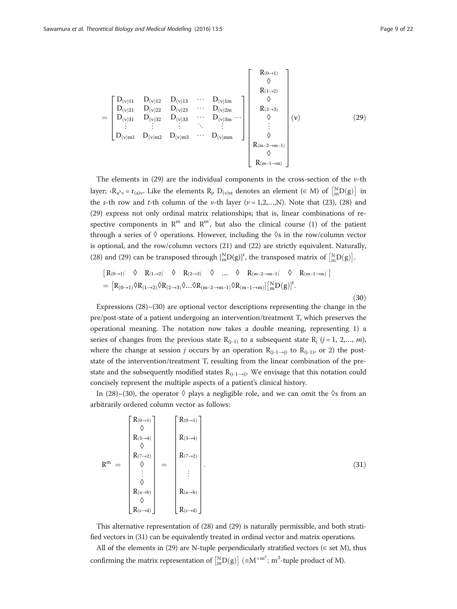<span id="page-8-0"></span>
$$
= \begin{bmatrix} D_{(v)11} & D_{(v)12} & D_{(v)13} & \cdots & D_{(v)1m} \\ D_{(v)21} & D_{(v)22} & D_{(v)23} & \cdots & D_{(v)2m} \\ D_{(v)31} & D_{(v)32} & D_{(v)33} & \cdots & D_{(v)3m} & \cdots \\ \vdots & \vdots & \vdots & \ddots & \vdots \\ D_{(v)m1} & D_{(v)m2} & D_{(v)m3} & \cdots & D_{(v)mm} \end{bmatrix} \begin{bmatrix} R_{(0\rightarrow 1)} \\ \varphi \\ R_{(1\rightarrow 2)} \\ \varphi \\ R_{(2\rightarrow 3)} \\ \varphi \\ \vdots \\ R_{(m-2\rightarrow m-1)} \\ \varphi \end{bmatrix} (v) \eqno(29)
$$

The elements in (29) are the individual components in the cross-section of the  $\nu$ -th layer;  $\langle R_a \rangle_v = r_{(a)v}$ . Like the elements  $R_j$ ,  $D_{(v)\text{st}}$  denotes an element (∈ M) of  $\begin{bmatrix} N_D(g) \end{bmatrix}$  in the s-th row and t-th column of the v-th layer ( $v = 1, 2, ..., N$ ). Note that ([23](#page-7-0)), ([28\)](#page-7-0) and (29) express not only ordinal matrix relationships; that is, linear combinations of respective components in  $\mathbb{R}^m$  and  $\mathbb{R}^m$ , but also the clinical course ([1\)](#page-1-0) of the patient through a series of  $\Diamond$  operations. However, including the  $\Diamond$ s in the row/column vector is optional, and the row/column vectors ([21](#page-6-0)) and [\(22](#page-7-0)) are strictly equivalent. Naturally, ([28\)](#page-7-0) and (29) can be transposed through  $\binom{N}{m}$  $(g)$ <sup>t</sup>, the transposed matrix of  $\binom{N}{m}$  $(g)$ .

$$
\begin{aligned} &\left[R_{(0\rightarrow 1)}' \quad \lozenge \quad R_{(1\rightarrow 2)}' \quad \lozenge \quad R_{(2\rightarrow 3)}' \quad \lozenge \quad \dots \quad \lozenge \quad R_{(m-2\rightarrow m-1)}' \quad \lozenge \quad R_{(m-1\rightarrow m)}'\right] \\ &= \left[R_{(0\rightarrow 1)} \lozenge R_{(1\rightarrow 2)} \lozenge R_{(2\rightarrow 3)} \lozenge \dots \lozenge R_{(m-2\rightarrow m-1)} \lozenge R_{(m-1\rightarrow m)}\right] \left[^{N}_{m}D(g)\right]^{t} . \end{aligned} \tag{30}
$$

(30)<br>Expressions [\(28\)](#page-7-0)–(30) are optional vector descriptions representing the change in the pre/post-state of a patient undergoing an intervention/treatment T, which preserves the operational meaning. The notation now takes a double meaning, representing 1) a series of changes from the previous state  $R_{(j-1)}$  to a subsequent state  $R_j$  ( $j = 1, 2,..., m$ ), where the change at session j occurs by an operation  $R_{(j-1\rightarrow j)}$  to  $R_{(j-1)}$ , or 2) the poststate of the intervention/treatment T, resulting from the linear combination of the prestate and the subsequently modified states  $R_{(i-1\rightarrow i)}$ . We envisage that this notation could concisely represent the multiple aspects of a patient's clinical history.

In [\(28\)](#page-7-0)–(30), the operator  $\Diamond$  plays a negligible role, and we can omit the  $\Diamond$ s from an arbitrarily ordered column vector as follows:

$$
R^{m} = \begin{bmatrix} R^{(0\rightarrow 1)} \\ \updownarrow \\ R^{(3\rightarrow 4)} \\ \downarrow \\ R^{(7\rightarrow 2)} \\ \downarrow \\ \downarrow \\ R^{(a\rightarrow b)} \\ \downarrow \\ R^{(c\rightarrow d)} \end{bmatrix} = \begin{bmatrix} R^{(0\rightarrow 1)} \\ R^{(3\rightarrow 4)} \\ \downarrow \\ R^{(7\rightarrow 2)} \\ \vdots \\ R^{(a\rightarrow b)} \\ \downarrow \\ R^{(a\rightarrow b)} \\ \downarrow \\ R^{(c\rightarrow d)} \end{bmatrix} . \tag{31}
$$

This alternative representation of [\(28\)](#page-7-0) and (29) is naturally permissible, and both stratified vectors in (31) can be equivalently treated in ordinal vector and matrix operations.

All of the elements in (29) are N-tuple perpendicularly stratified vectors ( $\in$  set M), thus confirming the matrix representation of  $\begin{bmatrix} N_D(g) \end{bmatrix}$  ( $\equiv M^{\times m^2}$ ; m<sup>2</sup>-tuple product of M).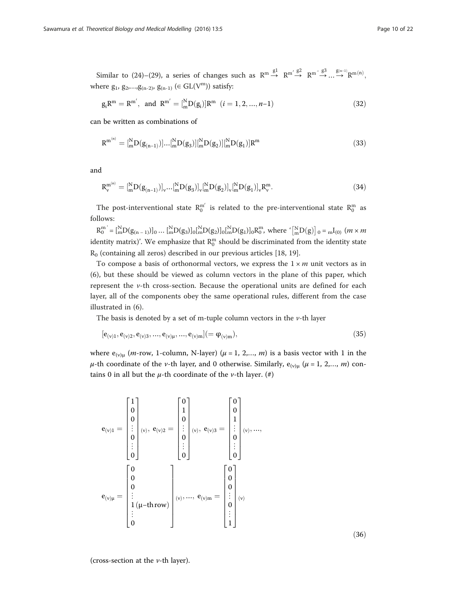<span id="page-9-0"></span>Similar to ([24\)](#page-7-0)–([29\)](#page-8-0), a series of changes such as  $R^m \stackrel{g1}{\rightarrow} R^{m'} \stackrel{g2}{\rightarrow} R^{m''} \stackrel{g3}{\rightarrow} ... \stackrel{g_{(n-1)}}{\rightarrow} R^{m(n)}$ , where  $g_1, g_2,...,g_{(n-2)}, g_{(n-1)} \in GL(V^m)$  satisfy:

$$
g_i R^m = R^{m'}, \text{ and } R^{m'} = {^Nm}D(g_i)]R^m \ (i = 1, 2, ..., n-1)
$$
 (32)

can be written as combinations of

$$
R^{m^{(n)}} = [{}^{N}_{m}D(g_{(n-1)})]...\,{}^{N}_{m}D(g_{3})][{}^{N}_{m}D(g_{2})][{}^{N}_{m}D(g_{1})]R^{m}
$$
\n(33)

and

$$
R_v^{m^{(n)}} = [{}^N_m D(g_{(n-1)})]_v...[{}^N_m D(g_3)]_v [{}^N_m D(g_2)]_v [{}^N_m D(g_1)]_v R_v^m. \tag{34}
$$

The post-interventional state  $R_0^{m'}$  is related to the pre-interventional state  $R_0^m$  as follows:

 $R_0^{\text{m}} = [\,_{\text{m}}^{\text{N}}D(g_{(n-1)})\,]_0 \dots \, [\,_{\text{m}}^{\text{N}}D(g_3)\,]_0\, [\,_{\text{m}}^{\text{N}}D(g_2)\,]_0\, [\,_{\text{m}}^{\text{N}}D(g_1)\,]_0 R_0^{\text{m}}$ , where ' $\,_{\text{m}}^{\text{N}}D(g)\,]_0 = {}_{\text{m}}I_{(0)}$  (*m* × *m* identity matrix)'. We emphasize that  $R_0^m$  should be discriminated from the identity state  $R<sub>0</sub>$  (containing all zeros) described in our previous articles [[18](#page-21-0), [19](#page-21-0)].

To compose a basis of orthonormal vectors, we express the  $1 \times m$  unit vectors as in ([6\)](#page-4-0), but these should be viewed as column vectors in the plane of this paper, which represent the v-th cross-section. Because the operational units are defined for each layer, all of the components obey the same operational rules, different from the case illustrated in ([6\)](#page-4-0).

The basis is denoted by a set of m-tuple column vectors in the  $\nu$ -th layer

$$
[e_{(v)1}, e_{(v)2}, e_{(v)3}, \dots, e_{(v)\mu}, \dots, e_{(v)m}] (= \varphi_{(v)m}),
$$
\n(35)

where  $e_{(v)\mu}$  (*m*-row, 1-column, N-layer) ( $\mu$  = 1, 2,..., *m*) is a basis vector with 1 in the  $\mu$ -th coordinate of the *v*-th layer, and 0 otherwise. Similarly,  $e_{(v)\mu}$  ( $\mu$  = 1, 2,..., *m*) contains 0 in all but the  $\mu$ -th coordinate of the *v*-th layer. (#)

$$
e_{(v)1} = \begin{bmatrix} 1 \\ 0 \\ 0 \\ \vdots \\ 0 \\ 0 \end{bmatrix}_{(v)}, \ e_{(v)2} = \begin{bmatrix} 0 \\ 1 \\ 0 \\ \vdots \\ 0 \\ 0 \end{bmatrix}_{(v)}, \ e_{(v)3} = \begin{bmatrix} 0 \\ 0 \\ \vdots \\ 0 \\ \vdots \\ 0 \end{bmatrix}_{(v)}, ..., e_{(v)3} = \begin{bmatrix} 0 \\ 1 \\ \vdots \\ 0 \\ \vdots \\ 0 \end{bmatrix}_{(v)}, ...,
$$

 $(36)$ 

(cross-section at the  $\nu$ -th layer).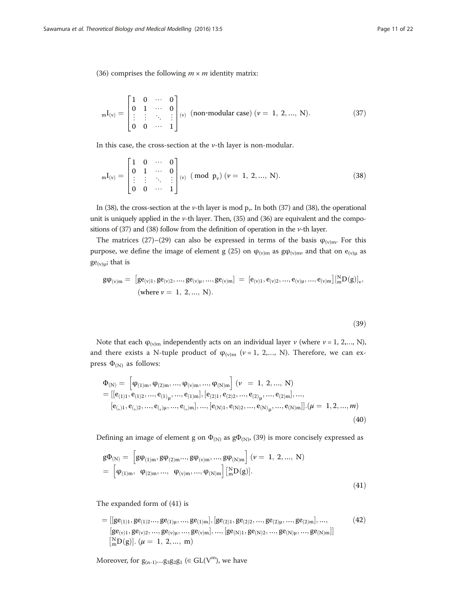<span id="page-10-0"></span>([36\)](#page-9-0) comprises the following  $m \times m$  identity matrix:

$$
{}_{m}I_{(v)} = \begin{bmatrix} 1 & 0 & \cdots & 0 \\ 0 & 1 & \cdots & 0 \\ \vdots & \vdots & \ddots & \vdots \\ 0 & 0 & \cdots & 1 \end{bmatrix} (v) \text{ (non-modular case)} (v = 1, 2, ..., N). \tag{37}
$$

In this case, the cross-section at the  $\nu$ -th layer is non-modular.

$$
{}_{m}I_{(\nu)}=\begin{bmatrix}1 & 0 & \cdots & 0 \\ 0 & 1 & \cdots & 0 \\ \vdots & \vdots & \ddots & \vdots \\ 0 & 0 & \cdots & 1\end{bmatrix} \! {}_{(\nu)}\!\!\!\! \pmod{p_{\nu}} \, (\nu=1,\,2,...,\,N). \qquad \qquad (38)
$$

In (38), the cross-section at the v-th layer is mod  $p_{\nu}$ . In both (37) and (38), the operational unit is uniquely applied in the  $\nu$ -th layer. Then, [\(35\)](#page-9-0) and [\(36\)](#page-9-0) are equivalent and the compositions of (37) and (38) follow from the definition of operation in the  $\nu$ -th layer.

The matrices [\(27\)](#page-7-0)–[\(29\)](#page-8-0) can also be expressed in terms of the basis  $\varphi_{(v)mn}$ . For this purpose, we define the image of element g ([25](#page-7-0)) on  $\varphi_{(v)mn}$  as  $g\varphi_{(v)m}$ , and that on  $e_{(v)\mu}$  as  $ge_{(v)\mu}$ ; that is

$$
g\phi_{(v)m} = [ge_{(v)1}, ge_{(v)2}, ..., ge_{(v)\mu}, ..., ge_{(v)m}] = [e_{(v)1}, e_{(v)2}, ..., e_{(v)\mu}, ..., e_{(v)m}]^{N}_{m}D(g)]_{v},
$$
  
(where  $\nu = 1, 2, ..., N$ ).

 $(39)$ 

Note that each  $\varphi_{(v)}$  independently acts on an individual layer v (where  $v = 1, 2,..., N$ ), and there exists a N-tuple product of  $\varphi_{(v) m}$  ( $v = 1, 2,..., N$ ). Therefore, we can express  $\Phi_{(N)}$  as follows:

$$
\Phi_{(N)} = \left[ \varphi_{(1)m}, \varphi_{(2)m}, ..., \varphi_{(v)m}, ..., \varphi_{(N)m} \right] (v = 1, 2, ..., N)
$$
\n
$$
= \left[ [\mathbf{e}_{(1)1}, \mathbf{e}_{(1)2}, ..., \mathbf{e}_{(1)}_{\mu}, ..., \mathbf{e}_{(1)m}], [\mathbf{e}_{(2)1}, \mathbf{e}_{(2)2}, ..., \mathbf{e}_{(2)}_{\mu}, ..., \mathbf{e}_{(2)m}], ...,
$$
\n
$$
[\mathbf{e}_{(v)1}, \mathbf{e}_{(v)2}, ..., \mathbf{e}_{(v)\mu}, ..., \mathbf{e}_{(v)m}], ..., [\mathbf{e}_{(N)1}, \mathbf{e}_{(N)2}, ..., \mathbf{e}_{(N)}_{\mu}, ..., \mathbf{e}_{(N)m}]]. (\mu = 1, 2, ..., m)
$$
\n(40)

Defining an image of element g on  $\Phi$ <sub>(N)</sub> as  $g\Phi$ <sub>(N)</sub>, (39) is more concisely expressed as

$$
g\Phi_{(N)} = \left[g\phi_{(1)m}, g\phi_{(2)m}, \dots, g\phi_{(v)m}, \dots, g\phi_{(N)m}\right] (\nu = 1, 2, \dots, N)
$$
  
= 
$$
\left[\phi_{(1)m}, \phi_{(2)m}, \dots, \phi_{(v)m}, \dots, \phi_{(N)m}\right] \begin{bmatrix} N \\ m \end{bmatrix} D(g).
$$
 (41)

The expanded form of (41) is

$$
=[[ge_{(1)1},ge_{(1)2}...,ge_{(1)\mu},...,ge_{(1)m}],[ge_{(2)1},ge_{(2)2},...,ge_{(2)\mu},...,ge_{(2)m}],...,\\ [ge_{(v)1},ge_{(v)2},...,ge_{(v)\mu},...,ge_{(v)\mu},...,ge_{(v)m}],...,[ge_{(N)1},ge_{(N)2},...,ge_{(N)\mu},...,ge_{(N)m}]]
$$
(42)  
\n
$$
\begin{bmatrix}N \\ mD(g)\end{bmatrix}\cdot(\mu=1,2,...,m)
$$

Moreover, for  $g_{(n-1)}...g_3g_2g_1$  ( $\in$  GL(V<sup>m</sup>), we have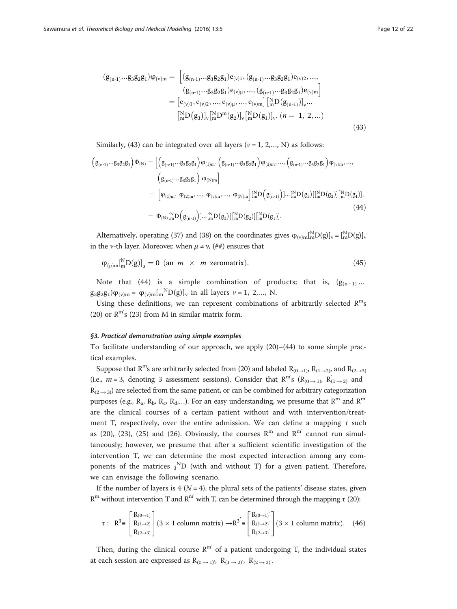$\ddot{\phantom{a}}$ 

<span id="page-11-0"></span>
$$
(g_{(n-1)}...g_3g_2g_1)\varphi_{(v)m} = \begin{bmatrix} (g_{(n-1)}...g_3g_2g_1)e_{(v)1}, (g_{(n-1)}...g_3g_2g_1)e_{(v)2}, ..., \\ (g_{(n-1)}...g_3g_2g_1)e_{(v)\mu}, ..., (g_{(n-1)}...g_3g_2g_1)e_{(v)m} \end{bmatrix}
$$

$$
= [e_{(v)1}, e_{(v)2}, ..., e_{(v)\mu}, ..., e_{(v)m}]\begin{bmatrix} \mathbf{N} \mathbf{D}(\mathbf{g}_{(n-1)}) \end{bmatrix}_{v} ...
$$

$$
\begin{bmatrix} \mathbf{N} \mathbf{D}(\mathbf{g}_3) \end{bmatrix}_{v} \begin{bmatrix} \mathbf{N} \mathbf{D}^{\mathbf{m}}(\mathbf{g}_2) \end{bmatrix}_{v} \begin{bmatrix} \mathbf{N} \mathbf{D}(\mathbf{g}_1) \end{bmatrix}_{v} . (n = 1, 2, ...)
$$
(43)

Similarly, (43) can be integrated over all layers ( $v = 1, 2,..., N$ ) as follows:

$$
\begin{aligned} \left( g_{(n\cdot 1)}...g_3g_2g_1 \right)\Phi_{(N)} &= \Big[ \Big( g_{(n\cdot 1)}...g_3g_2g_1 \Big) \phi_{(1)m}, \Big( g_{(n\cdot 1)}...g_3g_2g_1 \Big) \phi_{(2)m},..., \Big( g_{(n\cdot 1)}...g_3g_2g_1 \Big) \phi_{(v)m},..., \\ &\qquad \qquad \Big( g_{(n\cdot 1)}...g_3g_2g_1 \Big) \; \phi_{(N)m} \Big] \\ &= \Big[ \phi_{(1)m}, \; \phi_{(2)m},..., \; \phi_{(v)m},..., \; \phi_{(N)m} \Big] \big[ {}^N_m D \Big( g_{(n\cdot 1)} \Big) \big] ... \big[ {}^N_m D \Big( g_3 \Big) \big] \big[ {}^N_m D \Big( g_2 \Big) \big] \big[ {}^N_m D \Big( g_1 \Big) \big], \\ &\qquad \qquad \Big( 44 \Big) \\ &\qquad \qquad \Big( 44 \Big) \end{aligned}
$$

Alternatively, operating [\(37\)](#page-10-0) and ([38\)](#page-10-0) on the coordinates gives  $\varphi_{(v) m}[^{N}D(g)]_{v} = [{}^{N}D(g)]_{v}$ in the v-th layer. Moreover, when  $\mu \neq v$ , (##) ensures that

$$
\varphi_{(\mu)m} \big[ {}_{m}^{N}D(g) \big]_{\mu} = 0 \text{ (an } m \times m \text{ zeromatrix).}
$$
 (45)

Note that (44) is a simple combination of products; that is,  $(g_{(n-1)}...$  $g_3g_2g_1)\varphi_{(v)m} = \varphi_{(v)m}[\omega_N^N D(g)]_v$  in all layers  $v = 1, 2,..., N$ .

Using these definitions, we can represent combinations of arbitrarily selected  $R<sup>m</sup>$ s ([20\)](#page-6-0) or  $\mathbb{R}^m$ 's ([23\)](#page-7-0) from M in similar matrix form.

#### §3. Practical demonstration using simple examples

To facilitate understanding of our approach, we apply [\(20\)](#page-6-0)–(44) to some simple practical examples.

Suppose that R<sup>m</sup>s are arbitrarily selected from [\(20\)](#page-6-0) and labeled R<sub>(0→1)</sub>, R<sub>(1→2)</sub>, and R<sub>(2→3)</sub> (i.e.,  $m = 3$ , denoting 3 assessment sessions). Consider that  $R^{m'}s$  ( $R'_{(0\rightarrow 1)}$ ,  $R'_{(1\rightarrow 2)}$  and  $\overline{R}_{(2\rightarrow 3)}$  are selected from the same patient, or can be combined for arbitrary categorization purposes (e.g.,  $R_a$ ,  $R_b$ ,  $R_c$ ,  $R_d$ ,...). For an easy understanding, we presume that  $R^m$  and  $R^m$ are the clinical courses of a certain patient without and with intervention/treatment T, respectively, over the entire admission. We can define a mapping τ such as ([20\)](#page-6-0), [\(23](#page-7-0)), ([25\)](#page-7-0) and ([26\)](#page-7-0). Obviously, the courses  $\mathbb{R}^m$  and  $\mathbb{R}^{m'}$  cannot run simultaneously; however, we presume that after a sufficient scientific investigation of the intervention T, we can determine the most expected interaction among any components of the matrices  ${}_{3}{}^{N}D$  (with and without T) for a given patient. Therefore, we can envisage the following scenario.

If the number of layers is 4 ( $N = 4$ ), the plural sets of the patients' disease states, given  $R<sup>m</sup>$  without intervention T and  $R<sup>m'</sup>$  with T, can be determined through the mapping τ ([20](#page-6-0)):

$$
\tau: \ \ R^3 {\equiv} \begin{bmatrix} R^{(0\rightarrow 1)} \\ R^{(1\rightarrow 2)} \\ R^{(2\rightarrow 3)} \end{bmatrix} (3\times 1 \ \text{column matrix}) \rightarrow R^{3'} {\equiv} \begin{bmatrix} R^{(0\rightarrow 1)'} \\ R^{(1\rightarrow 2)'} \\ R^{(2\rightarrow 3)} \end{bmatrix} (3\times 1 \ \text{column matrix}). \tag{46}
$$

Then, during the clinical course  $R^{m'}$  of a patient undergoing T, the individual states at each session are expressed as  $R_{(0 \rightarrow 1)}$ ,  $R_{(1 \rightarrow 2)}$ ,  $R_{(2 \rightarrow 3)}$ .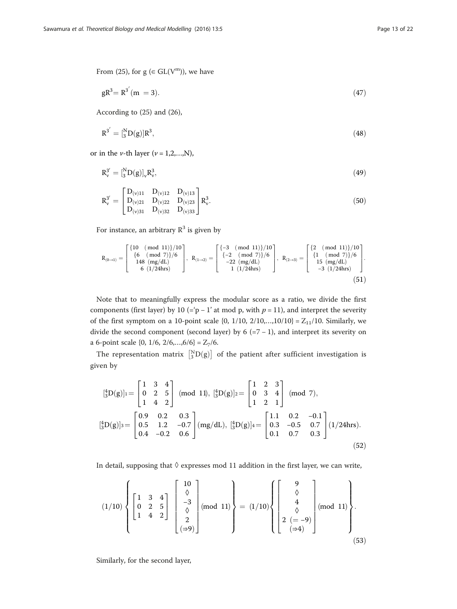<span id="page-12-0"></span>From ([25\)](#page-7-0), for  $g \in GL(V^m)$ , we have

$$
gR^3 = R^{3'}(m = 3).
$$
 (47)

According to [\(25](#page-7-0)) and [\(26](#page-7-0)),

$$
R^{3'} = [{}_{3}^{N}D(g)]R^{3},
$$
\n(48)

or in the *v*-th layer ( $v = 1, 2, ..., N$ ),

$$
R_v^{3'} = [{}_{3}^{N}D(g)]_v R_v^{3},\tag{49}
$$

$$
R_{\nu}^{3'} = \begin{bmatrix} D_{(\nu)11} & D_{(\nu)12} & D_{(\nu)13} \\ D_{(\nu)21} & D_{(\nu)22} & D_{(\nu)23} \\ D_{(\nu)31} & D_{(\nu)32} & D_{(\nu)33} \end{bmatrix} R_{\nu}^{3}.
$$
 (50)

For instance, an arbitrary  $R^3$  is given by

$$
R_{(0\to1)} = \begin{bmatrix} \{10 \pmod{11}\}/10 \\ \{6 \pmod{7}\}/6 \\ 148 \pmod{61} \\ 6 \pmod{7} \end{bmatrix}, \ R_{(1\to2)} = \begin{bmatrix} \{-3 \pmod{11}\}/10 \\ \{-2 \pmod{7}\}/6 \\ -22 \pmod{7} \\ 1 \pmod{7} \\ 1 \pmod{7} \end{bmatrix}, \ R_{(2\to3)} = \begin{bmatrix} \{2 \pmod{11}\}/10 \\ \{1 \pmod{7}\}/6 \\ 15 \pmod{7} \\ -3 \pmod{7} \end{bmatrix}.
$$
\n(51)

Note that to meaningfully express the modular score as a ratio, we divide the first components (first layer) by 10 (='p – 1' at mod p, with  $p = 11$ ), and interpret the severity of the first symptom on a 10-point scale  $\{0, 1/10, 2/10, \ldots, 10/10\} = Z_{11}/10$ . Similarly, we divide the second component (second layer) by 6 (=7 – 1), and interpret its severity on a 6-point scale  $\{0, 1/6, 2/6, \ldots, 6/6\} = \mathbb{Z}_7/6$ .

The representation matrix  $\begin{bmatrix} N_D(g) \end{bmatrix}$  of the patient after sufficient investigation is given by

$$
\begin{bmatrix} \frac{4}{3}D(g) \end{bmatrix}_{1} = \begin{bmatrix} 1 & 3 & 4 \\ 0 & 2 & 5 \\ 1 & 4 & 2 \end{bmatrix} \pmod{11}, \begin{bmatrix} \frac{4}{3}D(g) \end{bmatrix}_{2} = \begin{bmatrix} 1 & 2 & 3 \\ 0 & 3 & 4 \\ 1 & 2 & 1 \end{bmatrix} \pmod{7},
$$

$$
\begin{bmatrix} \frac{4}{3}D(g) \end{bmatrix}_{3} = \begin{bmatrix} 0.9 & 0.2 & 0.3 \\ 0.5 & 1.2 & -0.7 \\ 0.4 & -0.2 & 0.6 \end{bmatrix} \pmod{11}, \begin{bmatrix} \frac{4}{3}D(g) \end{bmatrix}_{4} = \begin{bmatrix} 1.1 & 0.2 & -0.1 \\ 0.3 & -0.5 & 0.7 \\ 0.1 & 0.7 & 0.3 \end{bmatrix} \pmod{124\text{hrs}}.
$$
(52)

In detail, supposing that  $\Diamond$  expresses mod 11 addition in the first layer, we can write,

$$
(1/10)\left\{ \begin{bmatrix} 1 & 3 & 4 \\ 0 & 2 & 5 \\ 1 & 4 & 2 \end{bmatrix} \begin{bmatrix} 10 \\ \lozenge \\ -3 \\ \lozenge \\ 2 \\ (-9) \end{bmatrix} \text{ (mod 11)} \right\} = (1/10)\left\{ \begin{bmatrix} 9 \\ \lozenge \\ 4 \\ 2 \\ (-9) \\ (-4) \end{bmatrix} \text{ (mod 11)} \right\}.
$$
\n
$$
(53)
$$

Similarly, for the second layer,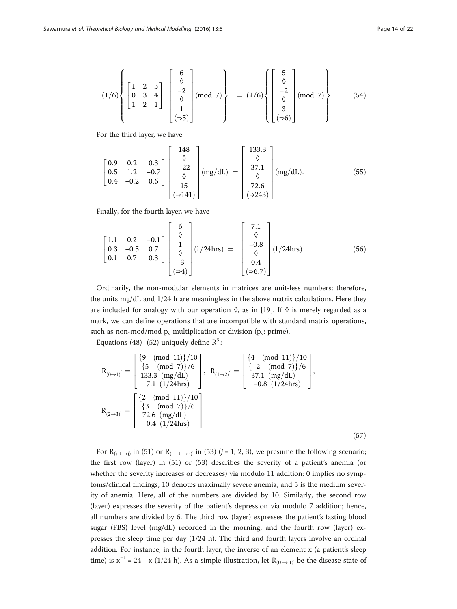<span id="page-13-0"></span>
$$
(1/6)\left\{ \begin{bmatrix} 1 & 2 & 3 \\ 0 & 3 & 4 \\ 1 & 2 & 1 \end{bmatrix} \begin{bmatrix} 6 \\ 0 \\ -2 \\ 0 \\ 1 \\ (-5) \end{bmatrix} \text{ (mod 7)} \right\} = (1/6)\left\{ \begin{bmatrix} 5 \\ 0 \\ -2 \\ 0 \\ 3 \\ (-56) \end{bmatrix} \text{ (mod 7)} \right\}.
$$
 (54)

For the third layer, we have

$$
\begin{bmatrix} 0.9 & 0.2 & 0.3 \\ 0.5 & 1.2 & -0.7 \\ 0.4 & -0.2 & 0.6 \end{bmatrix} \begin{bmatrix} 148 \\ \lozenge \\ -22 \\ \lozenge \\ 15 \\ (-3141) \end{bmatrix} (mg/dL) = \begin{bmatrix} 133.3 \\ \lozenge \\ 37.1 \\ \lozenge \\ 72.6 \\ (-3243) \end{bmatrix} (mg/dL). \tag{55}
$$

Finally, for the fourth layer, we have

$$
\begin{bmatrix} 1.1 & 0.2 & -0.1 \ 0.3 & -0.5 & 0.7 \ 0.1 & 0.7 & 0.3 \end{bmatrix} \begin{bmatrix} 6 \ \lambda \ 1 \ \lambda \ -3 \ (-34) \end{bmatrix} (1/24 \text{hrs}) = \begin{bmatrix} 7.1 \ \lambda \ -0.8 \ \lambda \ 0.4 \ (-6.7) \end{bmatrix} (1/24 \text{hrs}). \tag{56}
$$

Ordinarily, the non-modular elements in matrices are unit-less numbers; therefore, the units mg/dL and 1/24 h are meaningless in the above matrix calculations. Here they are included for analogy with our operation  $\Diamond$ , as in [[19\]](#page-21-0). If  $\Diamond$  is merely regarded as a mark, we can define operations that are incompatible with standard matrix operations, such as non-mod/mod  $p_v$  multiplication or division ( $p_v$ : prime).

Equations [\(48](#page-12-0))–[\(52](#page-12-0)) uniquely define  $R^3$ :

$$
R_{(0\to1)'} = \begin{bmatrix} \{9 \pmod{11}\}/10 \\ \{5 \pmod{7}\}/6 \\ 133.3 \pmod{4L} \\ 7.1 \pmod{7}/6 \\ 7.1 \pmod{7}/6 \\ \{3 \pmod{7}\}/6 \\ 72.6 \pmod{7}\}/6 \\ 0.4 \pmod{7}/6 \end{bmatrix}, R_{(1\to2)'} = \begin{bmatrix} \{4 \pmod{11}\}/10 \\ \{-2 \pmod{7}\}/6 \\ 37.1 \pmod{7}\}/6 \\ -0.8 \pmod{1/24\text{hrs}} \end{bmatrix},
$$
\n
$$
R_{(2\to3)'} = \begin{bmatrix} \{2 \pmod{11}\}/10 \\ \{3 \pmod{7}\}/6 \\ 72.6 \pmod{7}\} \\ 0.4 \pmod{1/24\text{hrs}} \end{bmatrix}.
$$
\n(57)

For  $R_{(j-1\rightarrow j)}$  in ([51](#page-12-0)) or  $R_{(j-1\rightarrow j)}$  in [\(53\)](#page-12-0)  $(j = 1, 2, 3)$ , we presume the following scenario; the first row (layer) in [\(51](#page-12-0)) or ([53\)](#page-12-0) describes the severity of a patient's anemia (or whether the severity increases or decreases) via modulo 11 addition: 0 implies no symptoms/clinical findings, 10 denotes maximally severe anemia, and 5 is the medium severity of anemia. Here, all of the numbers are divided by 10. Similarly, the second row (layer) expresses the severity of the patient's depression via modulo 7 addition; hence, all numbers are divided by 6. The third row (layer) expresses the patient's fasting blood sugar (FBS) level (mg/dL) recorded in the morning, and the fourth row (layer) expresses the sleep time per day (1/24 h). The third and fourth layers involve an ordinal addition. For instance, in the fourth layer, the inverse of an element x (a patient's sleep time) is  $x^{-1} = 24 - x$  (1/24 h). As a simple illustration, let  $R_{(0 \to 1)}$  be the disease state of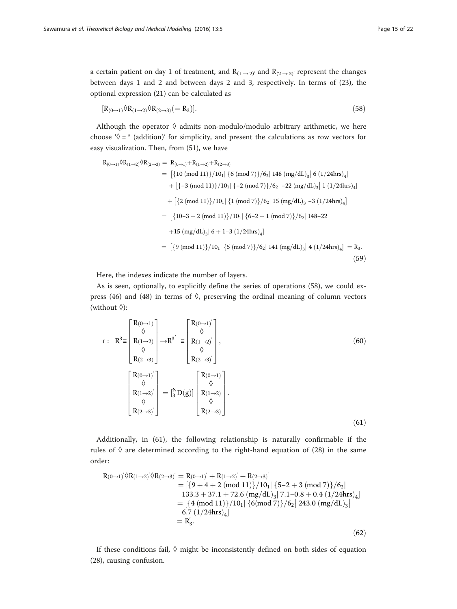<span id="page-14-0"></span>a certain patient on day 1 of treatment, and  $R_{(1\rightarrow 2)}$  and  $R_{(2\rightarrow 3)}$  represent the changes between days 1 and 2 and between days 2 and 3, respectively. In terms of [\(23](#page-7-0)), the optional expression [\(21](#page-6-0)) can be calculated as

$$
[R_{(0\to 1)} \lozenge R_{(1\to 2)} \lozenge R_{(2\to 3)} (= R_3)].
$$
\n(58)

Although the operator  $\Diamond$  admits non-modulo/modulo arbitrary arithmetic, we here choose ' $\Diamond$  = \* (addition)' for simplicity, and present the calculations as row vectors for easy visualization. Then, from [\(51\)](#page-12-0), we have

$$
R_{(0\to1)} \lozenge R_{(1\to2)} \lozenge R_{(2\to3)} = R_{(0\to1)} + R_{(1\to2)} + R_{(2\to3)}
$$
\n
$$
= \left[ \{ 10 \ (\text{mod } 11) \} / 10_1 \right] \{ 6 \ (\text{mod } 7) \} / 6_2 \left| 148 \ (\text{mg}/dL)_3 \right| 6 \ (1/24 \text{hrs})_4 \right]
$$
\n
$$
+ \left[ \{-3 \ (\text{mod } 11) \} / 10_1 \right] \{-2 \ (\text{mod } 7) \} / 6_2 \left| 12 \ (\text{mg}/dL)_3 \right| 1 \ (1/24 \text{hrs})_4 \right]
$$
\n
$$
+ \left[ \{ 2 \ (\text{mod } 11) \} / 10_1 \right] \{ 1 \ (\text{mod } 7) \} / 6_2 \left| 15 \ (\text{mg}/dL)_3 \right| - 3 \ (1/24 \text{hrs})_4 \right]
$$
\n
$$
= \left[ \{ 10 - 3 + 2 \ (\text{mod } 11) \} / 10_1 \right] \{ 6 - 2 + 1 \ (\text{mod } 7) \} / 6_2 \left| 148 - 22 \ \right.
$$
\n
$$
+ 15 \ (\text{mg}/dL)_3 \left| 6 + 1 - 3 \ (1/24 \text{hrs})_4 \right|
$$
\n
$$
= \left[ \{ 9 \ (\text{mod } 11) \} / 10_1 \right] \{ 5 \ (\text{mod } 7) \} / 6_2 \left| 141 \ (\text{mg}/dL)_3 \right| 4 \ (1/24 \text{hrs})_4 \right] = R_3.
$$
\n
$$
(59)
$$

Here, the indexes indicate the number of layers.

As is seen, optionally, to explicitly define the series of operations (58), we could ex-press ([46\)](#page-11-0) and [\(48](#page-12-0)) in terms of  $\Diamond$ , preserving the ordinal meaning of column vectors (without  $\diamond$ ):

$$
\tau: R^{3} \equiv \begin{bmatrix} R(0 \to 1) \\ \updownarrow \\ R(1 \to 2) \\ \downarrow \\ R(2 \to 3) \end{bmatrix} \to R^{3'} \equiv \begin{bmatrix} R(0 \to 1)^{'} \\ \updownarrow \\ R(1 \to 2)^{'} \\ \downarrow \\ R(2 \to 3)^{'} \end{bmatrix},
$$
\n(60)\n
$$
\begin{bmatrix} R(0 \to 1) \\ \updownarrow \\ R(1 \to 2) \\ \downarrow \\ R(1 \to 2) \\ \downarrow \\ R(2 \to 3) \end{bmatrix} = \begin{bmatrix} N \\ \updownarrow \\ S \end{bmatrix} D(g) \begin{bmatrix} R(0 \to 1) \\ \downarrow \\ R(1 \to 2) \\ \downarrow \\ R(2 \to 3) \end{bmatrix}.
$$
\n(61)

Additionally, in (61), the following relationship is naturally confirmable if the rules of  $\Diamond$  are determined according to the right-hand equation of ([28\)](#page-7-0) in the same order:

$$
R(0\rightarrow 1)^{'}\hat{O}R(1\rightarrow 2)^{'}\hat{O}R(2\rightarrow 3)^{'} = R(0\rightarrow 1)^{'} + R(1\rightarrow 2)^{'} + R(2\rightarrow 3)^{'}= [{9 + 4 + 2 (mod 11)} / 101 {5-2 + 3 (mod 7)} / 62 |133.3 + 37.1 + 72.6 (mg/dL)3 | 7.1-0.8 + 0.4 (1/24hrs)4]= [{4 (mod 11)} / 101 {6(mod 7)} / 62 | 243.0 (mg/dL)3 |6.7 (1/24hrs)4]= R'3. (62)
$$

If these conditions fail,  $\Diamond$  might be inconsistently defined on both sides of equation ([28\)](#page-7-0), causing confusion.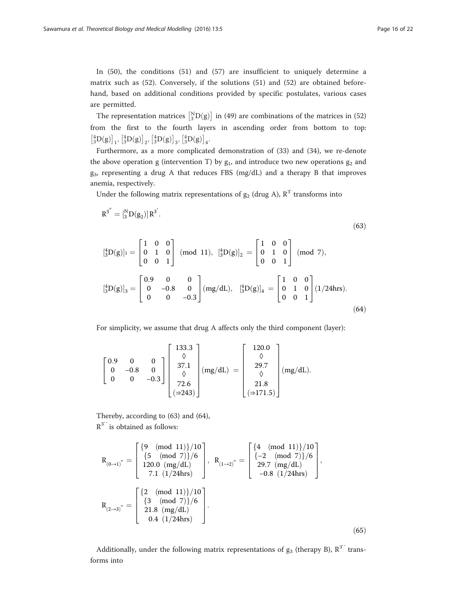In ([50\)](#page-12-0), the conditions [\(51](#page-12-0)) and ([57\)](#page-13-0) are insufficient to uniquely determine a matrix such as ([52\)](#page-12-0). Conversely, if the solutions ([51\)](#page-12-0) and [\(52](#page-12-0)) are obtained beforehand, based on additional conditions provided by specific postulates, various cases are permitted.

The representation matrices  $\begin{bmatrix} N_D(g) \end{bmatrix}$  in [\(49](#page-12-0)) are combinations of the matrices in ([52](#page-12-0)) from the first to the fourth layers in ascending order from bottom to top:  $\left[\frac{4}{3}D(g)\right]_1, \left[\frac{4}{3}D(g)\right]_2, \left[\frac{4}{3}D(g)\right]_3, \left[\frac{4}{3}D(g)\right]_4.$ 

Furthermore, as a more complicated demonstration of ([33\)](#page-9-0) and [\(34](#page-9-0)), we re-denote the above operation g (intervention T) by  $g_1$ , and introduce two new operations  $g_2$  and g3, representing a drug A that reduces FBS (mg/dL) and a therapy B that improves anemia, respectively.

Under the following matrix representations of  $g_2$  (drug A),  $R^{3'}$  transforms into

$$
R^{3''} = \begin{bmatrix} N_D(g_2) \end{bmatrix} R^{3'}.
$$
\n
$$
[{}_{3}^{4}D(g)]_1 = \begin{bmatrix} 1 & 0 & 0 \\ 0 & 1 & 0 \\ 0 & 0 & 1 \end{bmatrix} \pmod{11}, \; [{}_{3}^{4}D(g)]_2 = \begin{bmatrix} 1 & 0 & 0 \\ 0 & 1 & 0 \\ 0 & 0 & 1 \end{bmatrix} \pmod{7},
$$
\n
$$
[{}_{3}^{4}D(g)]_3 = \begin{bmatrix} 0.9 & 0 & 0 \\ 0 & -0.8 & 0 \\ 0 & 0 & -0.3 \end{bmatrix} \pmod{4L}, \; [{}_{3}^{4}D(g)]_4 = \begin{bmatrix} 1 & 0 & 0 \\ 0 & 1 & 0 \\ 0 & 0 & 1 \end{bmatrix} (1/24 \text{hrs}).
$$
\n
$$
(64)
$$

For simplicity, we assume that drug A affects only the third component (layer):

$$
\begin{bmatrix} 0.9 & 0 & 0 \\ 0 & -0.8 & 0 \\ 0 & 0 & -0.3 \end{bmatrix} \begin{bmatrix} 133.3 \\ \lozenge \\ 37.1 \\ \lozenge \\ 72.6 \\ (\Rightarrow 243) \end{bmatrix} (mg/dL) = \begin{bmatrix} 120.0 \\ \lozenge \\ 29.7 \\ \lozenge \\ 21.8 \\ (\Rightarrow 171.5) \end{bmatrix} (mg/dL).
$$

Thereby, according to (63) and (64),  $R^{3''}$  is obtained as follows:

$$
R_{(0\to1)''} = \begin{bmatrix} \{9 \pmod{11}\}/10 \\ \{5 \pmod{7}\}/6 \\ 120.0 \pmod{4L} \\ 7.1 \pmod{4L} \end{bmatrix}, \quad R_{(1\to2)''} = \begin{bmatrix} \{4 \pmod{11}\}/10 \\ \{-2 \pmod{7}\}/6 \\ 29.7 \pmod{4L} \\ -0.8 \pmod{4L} \end{bmatrix},
$$

$$
R_{(2\to3)''} = \begin{bmatrix} \{2 \pmod{11}\}/10 \\ \{3 \pmod{7}\}/6 \\ 21.8 \pmod{4L} \\ 0.4 \pmod{4L} \end{bmatrix}.
$$
(65)

Additionally, under the following matrix representations of  $g_3$  (therapy B),  $R^{3''}$  transforms into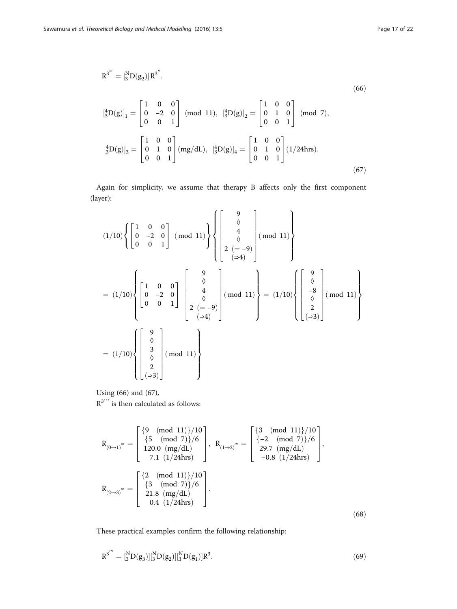$$
R^{3'''} = \binom{N}{3}D(g)R^{3''}.
$$
\n(66)\n
$$
\binom{4}{3}D(g)|_1 = \begin{bmatrix} 1 & 0 & 0 \\ 0 & -2 & 0 \\ 0 & 0 & 1 \end{bmatrix} \pmod{11}, \quad \binom{4}{3}D(g)|_2 = \begin{bmatrix} 1 & 0 & 0 \\ 0 & 1 & 0 \\ 0 & 0 & 1 \end{bmatrix} \pmod{7},
$$
\n
$$
\binom{4}{3}D(g)|_3 = \begin{bmatrix} 1 & 0 & 0 \\ 0 & 1 & 0 \\ 0 & 0 & 1 \end{bmatrix} \pmod{7}, \quad \binom{4}{3}D(g)|_4 = \begin{bmatrix} 1 & 0 & 0 \\ 0 & 1 & 0 \\ 0 & 0 & 1 \end{bmatrix} (1/24 \text{hrs}).
$$
\n(67)

Again for simplicity, we assume that therapy B affects only the first component (layer):

$$
(1/10)\left\{ \begin{bmatrix} 1 & 0 & 0 \\ 0 & -2 & 0 \\ 0 & 0 & 1 \end{bmatrix} (\text{mod } 11) \right\} \left\{ \begin{bmatrix} 9 \\ 4 \\ 4 \\ 2 \\ (-9) \\ (-9) \end{bmatrix} (\text{mod } 11) \right\}
$$
  
=  $(1/10)\left\{ \begin{bmatrix} 1 & 0 & 0 \\ 0 & -2 & 0 \\ 0 & 0 & 1 \end{bmatrix} \begin{bmatrix} 9 \\ 4 \\ 4 \\ 2 \\ 2 \\ (-9) \end{bmatrix} (\text{mod } 11) \right\} = (1/10)\left\{ \begin{bmatrix} 9 \\ 0 \\ -8 \\ 2 \\ 2 \\ (-9) \end{bmatrix} (\text{mod } 11) \right\}$   
=  $(1/10)\left\{ \begin{bmatrix} 9 \\ 0 \\ 3 \\ 2 \\ (-9) \end{bmatrix} (\text{mod } 11) \right\}$ 

Using (66) and (67),

 $R^{3'''}$  is then calculated as follows:

$$
R_{(0\to1)'''} = \begin{bmatrix} \{9 \pmod{11}\}/10 \\ \{5 \pmod{7}\}/6 \\ 120.0 \pmod{4L} \\ 7.1 \pmod{4L} \\ \{1/24hrs\} \end{bmatrix}, \quad R_{(1\to2)'''} = \begin{bmatrix} \{3 \pmod{11}\}/10 \\ \{-2 \pmod{7}\}/6 \\ 29.7 \pmod{4L} \\ -0.8 \pmod{1/24hrs} \\ \end{bmatrix},
$$

$$
R_{(2\to3)'''} = \begin{bmatrix} \{2 \pmod{11}\}/10 \\ \{3 \pmod{7}\}/6 \\ 21.8 \pmod{7}\}/6 \\ 0.4 \pmod{4L} \\ 0.4 \pmod{4hrs} \end{bmatrix}.
$$
(68)

These practical examples confirm the following relationship:

$$
R^{3'''} = [{}_{3}^{N}D(g_{3})][{}_{3}^{N}D(g_{2})][{}_{3}^{N}D(g_{1})]R^{3}.
$$
\n(69)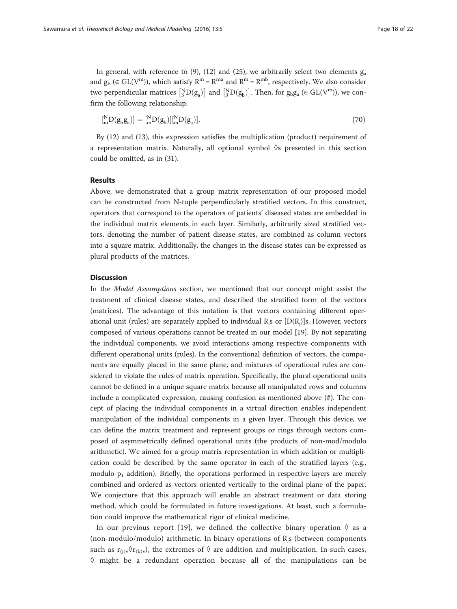In general, with reference to [\(9](#page-4-0)), [\(12](#page-5-0)) and ([25\)](#page-7-0), we arbitrarily select two elements  $g_a$ and  $g_b$  ( $\in GL(V^m)$ ), which satisfy  $R^m = R^{ma}$  and  $R^m = R^{mb}$ , respectively. We also consider two perpendicular matrices  $\begin{bmatrix} {}^{\text{N}}_{\text{D}}(\text{g}_{\text{a}}) \end{bmatrix}$  and  $\begin{bmatrix} {}^{\text{N}}_{\text{3}}D(\text{g}_{\text{b}}) \end{bmatrix}$ . Then, for  $\text{g}_{\text{b}}\text{g}_{\text{a}} \in GL(V^{\text{m}})$ ), we confirm the following relationship:

$$
[{}_{m}^{N}D(g_{b}g_{a})] = [{}_{m}^{N}D(g_{b})][{}_{m}^{N}D(g_{a})].
$$
\n(70)

By [\(12](#page-5-0)) and [\(13\)](#page-5-0), this expression satisfies the multiplication (product) requirement of a representation matrix. Naturally, all optional symbol  $\Diamond$ s presented in this section could be omitted, as in ([31\)](#page-8-0).

#### Results

Above, we demonstrated that a group matrix representation of our proposed model can be constructed from N-tuple perpendicularly stratified vectors. In this construct, operators that correspond to the operators of patients' diseased states are embedded in the individual matrix elements in each layer. Similarly, arbitrarily sized stratified vectors, denoting the number of patient disease states, are combined as column vectors into a square matrix. Additionally, the changes in the disease states can be expressed as plural products of the matrices.

#### **Discussion**

In the Model Assumptions section, we mentioned that our concept might assist the treatment of clinical disease states, and described the stratified form of the vectors (matrices). The advantage of this notation is that vectors containing different operational unit (rules) are separately applied to individual  $R_j$ s or  $[D(R_j)]$ s. However, vectors composed of various operations cannot be treated in our model [\[19](#page-21-0)]. By not separating the individual components, we avoid interactions among respective components with different operational units (rules). In the conventional definition of vectors, the components are equally placed in the same plane, and mixtures of operational rules are considered to violate the rules of matrix operation. Specifically, the plural operational units cannot be defined in a unique square matrix because all manipulated rows and columns include a complicated expression, causing confusion as mentioned above (#). The concept of placing the individual components in a virtual direction enables independent manipulation of the individual components in a given layer. Through this device, we can define the matrix treatment and represent groups or rings through vectors composed of asymmetrically defined operational units (the products of non-mod/modulo arithmetic). We aimed for a group matrix representation in which addition or multiplication could be described by the same operator in each of the stratified layers (e.g., modulo- $p_1$  addition). Briefly, the operations performed in respective layers are merely combined and ordered as vectors oriented vertically to the ordinal plane of the paper. We conjecture that this approach will enable an abstract treatment or data storing method, which could be formulated in future investigations. At least, such a formulation could improve the mathematical rigor of clinical medicine.

In our previous report [[19](#page-21-0)], we defined the collective binary operation  $\Diamond$  as a (non-modulo/modulo) arithmetic. In binary operations of  $R_i$ s (between components such as  $r_{(j)v} \delta r_{(k)v}$ , the extremes of  $\delta$  are addition and multiplication. In such cases, ◊ might be a redundant operation because all of the manipulations can be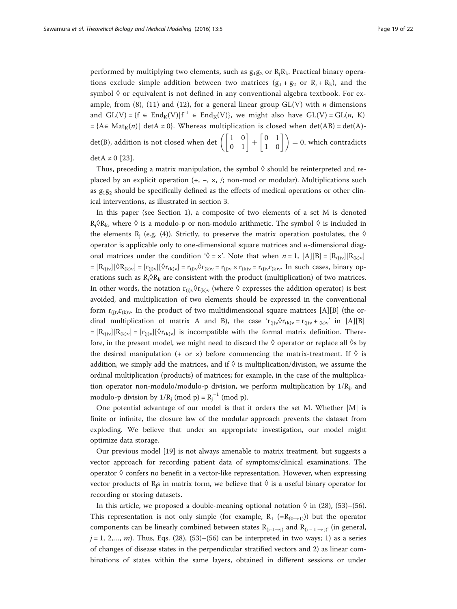performed by multiplying two elements, such as  $g_1g_2$  or  $R_iR_k$ . Practical binary operations exclude simple addition between two matrices  $(g_1 + g_2)$  or  $R_i + R_k$ ), and the symbol  $\Diamond$  or equivalent is not defined in any conventional algebra textbook. For ex-ample, from ([8\)](#page-4-0), [\(11](#page-4-0)) and ([12\)](#page-5-0), for a general linear group  $GL(V)$  with *n* dimensions and  $GL(V) = \{f \in End_K(V) | f^1 \in End_K(V)\}\)$ , we might also have  $GL(V) = GL(n, K)$ = { $A \in Mat_K(n)$  | det $A \neq 0$ }. Whereas multiplication is closed when det( $AB$ ) = det( $A$ )det(B), addition is not closed when det  $\left( \begin{bmatrix} 1 & 0 \ 0 & 1 \end{bmatrix} \right)$  $\left( \begin{bmatrix} 1 & 0 \\ 0 & 1 \end{bmatrix} + \begin{bmatrix} 0 & 1 \\ 1 & 0 \end{bmatrix} \right) = 0$ , which contradicts  $det A \neq 0$  [\[23\]](#page-21-0).

Thus, preceding a matrix manipulation, the symbol  $\Diamond$  should be reinterpreted and replaced by an explicit operation  $(+, -, \times, /;$  non-mod or modular). Multiplications such as  $g_1g_2$  should be specifically defined as the effects of medical operations or other clinical interventions, as illustrated in section 3.

In this paper (see [Section 1](#page-0-0)), a composite of two elements of a set M is denoted  $R_i \lozenge R_k$ , where  $\lozenge$  is a modulo-p or non-modulo arithmetic. The symbol  $\lozenge$  is included in the elements R<sub>i</sub> (e.g. ([4\)](#page-3-0)). Strictly, to preserve the matrix operation postulates, the  $\Diamond$ operator is applicable only to one-dimensional square matrices and  $n$ -dimensional diagonal matrices under the condition ' $\Diamond = \times'$ . Note that when  $n = 1$ ,  $[A][B] = [R_{(i)v}][R_{(k)v}]$  $=[R_{(i)v}][\langle R_{(k)v}]=[r_{(i)v}][\langle r_{(k)v}]=r_{(i)v}\langle r_{(k)v} = r_{(i)v} \times r_{(k)v} = r_{(i)v}r_{(k)v}$ . In such cases, binary operations such as  $R_i \, \delta R_k$  are consistent with the product (multiplication) of two matrices. In other words, the notation  $r_{(i)v} \delta r_{(k)v}$  (where  $\delta$  expresses the addition operator) is best avoided, and multiplication of two elements should be expressed in the conventional form  $r_{(j)v}r_{(k)v}$ . In the product of two multidimensional square matrices [A][B] (the ordinal multiplication of matrix A and B), the case ' $r_{(j)} \sqrt{r_{(k)}} = r_{(j)} + (k) \sqrt{r_{(k)}}$  in [A][B]  $=[R_{(i)v}][R_{(k)v}] = [r_{(i)v}][\hat{C}r_{(k)v}]$  is incompatible with the formal matrix definition. Therefore, in the present model, we might need to discard the  $\Diamond$  operator or replace all  $\Diamond$ s by the desired manipulation (+ or  $\times$ ) before commencing the matrix-treatment. If  $\Diamond$  is addition, we simply add the matrices, and if  $\Diamond$  is multiplication/division, we assume the ordinal multiplication (products) of matrices; for example, in the case of the multiplication operator non-modulo/modulo-p division, we perform multiplication by  $1/R<sub>i</sub>$ , and modulo-p division by  $1/R_j \pmod{p} = R_j^{-1} \pmod{p}$ .

One potential advantage of our model is that it orders the set M. Whether |M| is finite or infinite, the closure law of the modular approach prevents the dataset from exploding. We believe that under an appropriate investigation, our model might optimize data storage.

Our previous model [[19\]](#page-21-0) is not always amenable to matrix treatment, but suggests a vector approach for recording patient data of symptoms/clinical examinations. The operator  $\Diamond$  confers no benefit in a vector-like representation. However, when expressing vector products of R<sub>j</sub>s in matrix form, we believe that  $\Diamond$  is a useful binary operator for recording or storing datasets.

In this article, we proposed a double-meaning optional notation  $\Diamond$  in ([28](#page-7-0)), [\(53](#page-12-0))–([56](#page-13-0)). This representation is not only simple (for example,  $R_1$  (= $R_{(0\rightarrow1)}$ )) but the operator components can be linearly combined between states  $R_{(j-1\rightarrow j)}$  and  $R_{(j-1\rightarrow j)}$  (in general,  $j = 1, 2,..., m$ ). Thus, Eqs. [\(28](#page-7-0)), [\(53](#page-12-0))–[\(56](#page-13-0)) can be interpreted in two ways; 1) as a series of changes of disease states in the perpendicular stratified vectors and 2) as linear combinations of states within the same layers, obtained in different sessions or under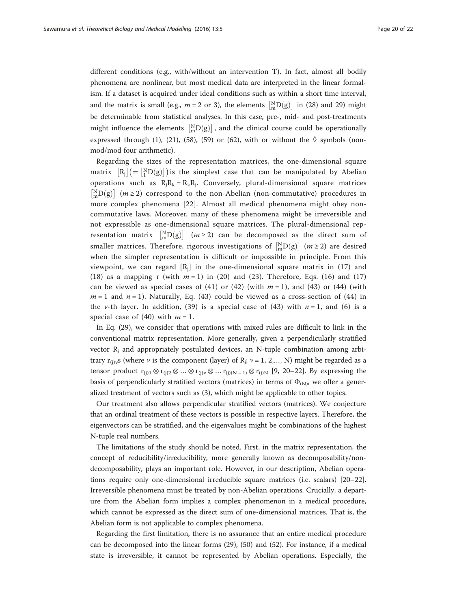different conditions (e.g., with/without an intervention T). In fact, almost all bodily phenomena are nonlinear, but most medical data are interpreted in the linear formalism. If a dataset is acquired under ideal conditions such as within a short time interval, and the matrix is small (e.g.,  $m = 2$  or 3), the elements  $\begin{bmatrix} N_D(g) \end{bmatrix}$  in ([28\)](#page-7-0) and 29) might be determinable from statistical analyses. In this case, pre-, mid- and post-treatments might influence the elements  $\begin{bmatrix} N_D(g) \end{bmatrix}$ , and the clinical course could be operationally expressed through [\(1\)](#page-1-0), ([21\)](#page-6-0), ([58](#page-14-0)), [\(59](#page-14-0)) or [\(62](#page-14-0)), with or without the  $\Diamond$  symbols (nonmod/mod four arithmetic).

Regarding the sizes of the representation matrices, the one-dimensional square matrix  $\begin{bmatrix} R_j \end{bmatrix} \begin{pmatrix} = \begin{bmatrix} N_D(g) \end{bmatrix}$  is the simplest case that can be manipulated by Abelian operations such as  $R_iR_k = R_kR_i$ . Conversely, plural-dimensional square matrices  $\begin{bmatrix} N_D(g) \end{bmatrix}$  ( $m \ge 2$ ) correspond to the non-Abelian (non-commutative) procedures in more complex phenomena [\[22](#page-21-0)]. Almost all medical phenomena might obey noncommutative laws. Moreover, many of these phenomena might be irreversible and not expressible as one-dimensional square matrices. The plural-dimensional representation matrix  $\begin{bmatrix} N_D(g) \end{bmatrix}$  ( $m \ge 2$ ) can be decomposed as the direct sum of smaller matrices. Therefore, rigorous investigations of  $\begin{bmatrix} N_D(g) \end{bmatrix}$   $(m \ge 2)$  are desired when the simpler representation is difficult or impossible in principle. From this viewpoint, we can regard  $[R_i]$  in the one-dimensional square matrix in ([17\)](#page-5-0) and ([18](#page-6-0)) as a mapping  $\tau$  (with  $m = 1$ ) in ([20](#page-6-0)) and ([23](#page-7-0)). Therefore, Eqs. ([16\)](#page-5-0) and [\(17](#page-5-0)) can be viewed as special cases of ([41\)](#page-10-0) or ([42\)](#page-10-0) (with  $m = 1$ ), and ([43](#page-11-0)) or [\(44](#page-11-0)) (with  $m = 1$  and  $n = 1$ ). Naturally, Eq. ([43](#page-11-0)) could be viewed as a cross-section of ([44\)](#page-11-0) in the *v*-th layer. In addition, [\(39\)](#page-10-0) is a special case of ([43](#page-11-0)) with  $n = 1$ , and ([6\)](#page-4-0) is a special case of ([40\)](#page-10-0) with  $m = 1$ .

In Eq. ([29\)](#page-8-0), we consider that operations with mixed rules are difficult to link in the conventional matrix representation. More generally, given a perpendicularly stratified vector  $R_j$  and appropriately postulated devices, an N-tuple combination among arbitrary  $r_{(j)v}$ s (where  $v$  is the component (layer) of  $R_j$ ;  $v = 1, 2,..., N$ ) might be regarded as a tensor product  $r_{(j)1} \otimes r_{(j)2} \otimes ... \otimes r_{(j)v} \otimes ... r_{(j)(N-1)} \otimes r_{(j)N}$  [\[9](#page-21-0), [20](#page-21-0)–[22\]](#page-21-0). By expressing the basis of perpendicularly stratified vectors (matrices) in terms of  $\Phi_{(N)}$ , we offer a generalized treatment of vectors such as [\(3](#page-2-0)), which might be applicable to other topics.

Our treatment also allows perpendicular stratified vectors (matrices). We conjecture that an ordinal treatment of these vectors is possible in respective layers. Therefore, the eigenvectors can be stratified, and the eigenvalues might be combinations of the highest N-tuple real numbers.

The limitations of the study should be noted. First, in the matrix representation, the concept of reducibility/irreducibility, more generally known as decomposability/nondecomposability, plays an important role. However, in our description, Abelian operations require only one-dimensional irreducible square matrices (i.e. scalars) [[20](#page-21-0)–[22](#page-21-0)]. Irreversible phenomena must be treated by non-Abelian operations. Crucially, a departure from the Abelian form implies a complex phenomenon in a medical procedure, which cannot be expressed as the direct sum of one-dimensional matrices. That is, the Abelian form is not applicable to complex phenomena.

Regarding the first limitation, there is no assurance that an entire medical procedure can be decomposed into the linear forms ([29\)](#page-8-0), ([50](#page-12-0)) and ([52](#page-12-0)). For instance, if a medical state is irreversible, it cannot be represented by Abelian operations. Especially, the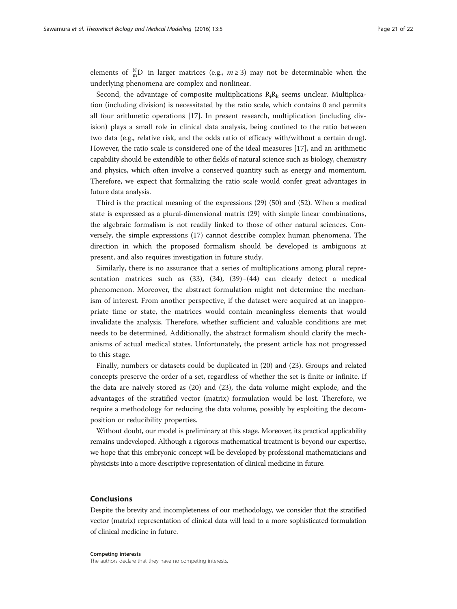elements of  ${}_{\text{m}}^{\text{N}}\text{D}$  in larger matrices (e.g.,  $m \geq 3$ ) may not be determinable when the underlying phenomena are complex and nonlinear.

Second, the advantage of composite multiplications  $R_jR_k$  seems unclear. Multiplication (including division) is necessitated by the ratio scale, which contains 0 and permits all four arithmetic operations [\[17](#page-21-0)]. In present research, multiplication (including division) plays a small role in clinical data analysis, being confined to the ratio between two data (e.g., relative risk, and the odds ratio of efficacy with/without a certain drug). However, the ratio scale is considered one of the ideal measures [[17\]](#page-21-0), and an arithmetic capability should be extendible to other fields of natural science such as biology, chemistry and physics, which often involve a conserved quantity such as energy and momentum. Therefore, we expect that formalizing the ratio scale would confer great advantages in future data analysis.

Third is the practical meaning of the expressions ([29](#page-8-0)) [\(50\)](#page-12-0) and ([52](#page-12-0)). When a medical state is expressed as a plural-dimensional matrix ([29\)](#page-8-0) with simple linear combinations, the algebraic formalism is not readily linked to those of other natural sciences. Conversely, the simple expressions ([17\)](#page-5-0) cannot describe complex human phenomena. The direction in which the proposed formalism should be developed is ambiguous at present, and also requires investigation in future study.

Similarly, there is no assurance that a series of multiplications among plural representation matrices such as ([33\)](#page-9-0), ([34\)](#page-9-0), ([39\)](#page-10-0)−([44\)](#page-11-0) can clearly detect a medical phenomenon. Moreover, the abstract formulation might not determine the mechanism of interest. From another perspective, if the dataset were acquired at an inappropriate time or state, the matrices would contain meaningless elements that would invalidate the analysis. Therefore, whether sufficient and valuable conditions are met needs to be determined. Additionally, the abstract formalism should clarify the mechanisms of actual medical states. Unfortunately, the present article has not progressed to this stage.

Finally, numbers or datasets could be duplicated in ([20](#page-6-0)) and ([23\)](#page-7-0). Groups and related concepts preserve the order of a set, regardless of whether the set is finite or infinite. If the data are naively stored as [\(20](#page-6-0)) and ([23](#page-7-0)), the data volume might explode, and the advantages of the stratified vector (matrix) formulation would be lost. Therefore, we require a methodology for reducing the data volume, possibly by exploiting the decomposition or reducibility properties.

Without doubt, our model is preliminary at this stage. Moreover, its practical applicability remains undeveloped. Although a rigorous mathematical treatment is beyond our expertise, we hope that this embryonic concept will be developed by professional mathematicians and physicists into a more descriptive representation of clinical medicine in future.

#### Conclusions

Despite the brevity and incompleteness of our methodology, we consider that the stratified vector (matrix) representation of clinical data will lead to a more sophisticated formulation of clinical medicine in future.